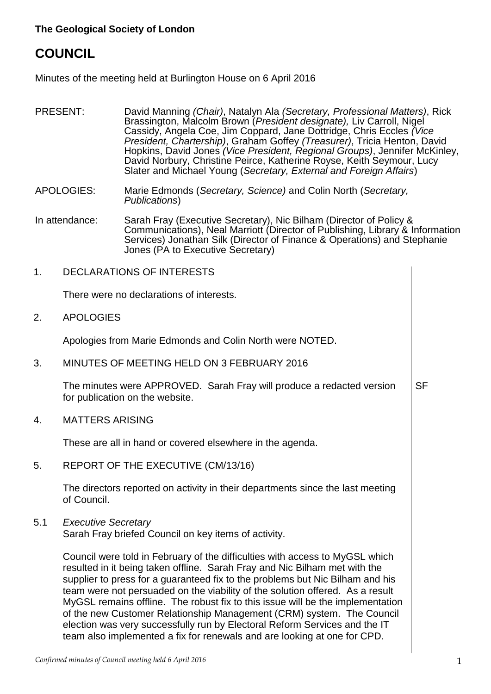# **COUNCIL**

Minutes of the meeting held at Burlington House on 6 April 2016

- PRESENT: David Manning *(Chair)*, Natalyn Ala *(Secretary, Professional Matters)*, Rick Brassington, Malcolm Brown (*President designate),* Liv Carroll, Nigel Cassidy, Angela Coe, Jim Coppard, Jane Dottridge, Chris Eccles *(Vice President, Chartership)*, Graham Goffey *(Treasurer)*, Tricia Henton, David Hopkins, David Jones *(Vice President, Regional Groups)*, Jennifer McKinley, David Norbury, Christine Peirce, Katherine Royse, Keith Seymour, Lucy Slater and Michael Young (*Secretary, External and Foreign Affairs*)
- APOLOGIES: Marie Edmonds (*Secretary, Science)* and Colin North (*Secretary, Publications*)
- In attendance: Sarah Fray (Executive Secretary), Nic Bilham (Director of Policy & Communications), Neal Marriott (Director of Publishing, Library & Information Services) Jonathan Silk (Director of Finance & Operations) and Stephanie Jones (PA to Executive Secretary)
- 1. DECLARATIONS OF INTERESTS

There were no declarations of interests.

2. APOLOGIES

Apologies from Marie Edmonds and Colin North were NOTED.

3. MINUTES OF MEETING HELD ON 3 FEBRUARY 2016

The minutes were APPROVED. Sarah Fray will produce a redacted version for publication on the website. **SF** 

4. MATTERS ARISING

These are all in hand or covered elsewhere in the agenda.

5. REPORT OF THE EXECUTIVE (CM/13/16)

The directors reported on activity in their departments since the last meeting of Council.

5.1 *Executive Secretary*

Sarah Fray briefed Council on key items of activity.

Council were told in February of the difficulties with access to MyGSL which resulted in it being taken offline. Sarah Fray and Nic Bilham met with the supplier to press for a guaranteed fix to the problems but Nic Bilham and his team were not persuaded on the viability of the solution offered. As a result MyGSL remains offline. The robust fix to this issue will be the implementation of the new Customer Relationship Management (CRM) system. The Council election was very successfully run by Electoral Reform Services and the IT team also implemented a fix for renewals and are looking at one for CPD.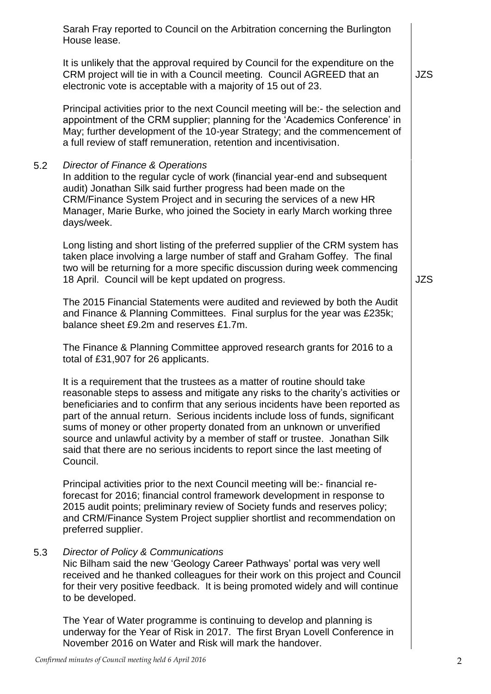|     | Sarah Fray reported to Council on the Arbitration concerning the Burlington<br>House lease.                                                                                                                                                                                                                                                                                                                                                                                                                                                                                          |            |
|-----|--------------------------------------------------------------------------------------------------------------------------------------------------------------------------------------------------------------------------------------------------------------------------------------------------------------------------------------------------------------------------------------------------------------------------------------------------------------------------------------------------------------------------------------------------------------------------------------|------------|
|     | It is unlikely that the approval required by Council for the expenditure on the<br>CRM project will tie in with a Council meeting. Council AGREED that an<br>electronic vote is acceptable with a majority of 15 out of 23.                                                                                                                                                                                                                                                                                                                                                          | <b>JZS</b> |
|     | Principal activities prior to the next Council meeting will be:- the selection and<br>appointment of the CRM supplier; planning for the 'Academics Conference' in<br>May; further development of the 10-year Strategy; and the commencement of<br>a full review of staff remuneration, retention and incentivisation.                                                                                                                                                                                                                                                                |            |
| 5.2 | Director of Finance & Operations<br>In addition to the regular cycle of work (financial year-end and subsequent<br>audit) Jonathan Silk said further progress had been made on the<br>CRM/Finance System Project and in securing the services of a new HR<br>Manager, Marie Burke, who joined the Society in early March working three<br>days/week.                                                                                                                                                                                                                                 |            |
|     | Long listing and short listing of the preferred supplier of the CRM system has<br>taken place involving a large number of staff and Graham Goffey. The final<br>two will be returning for a more specific discussion during week commencing<br>18 April. Council will be kept updated on progress.                                                                                                                                                                                                                                                                                   | <b>JZS</b> |
|     | The 2015 Financial Statements were audited and reviewed by both the Audit<br>and Finance & Planning Committees. Final surplus for the year was £235k;<br>balance sheet £9.2m and reserves £1.7m.                                                                                                                                                                                                                                                                                                                                                                                     |            |
|     | The Finance & Planning Committee approved research grants for 2016 to a<br>total of £31,907 for 26 applicants.                                                                                                                                                                                                                                                                                                                                                                                                                                                                       |            |
|     | It is a requirement that the trustees as a matter of routine should take<br>reasonable steps to assess and mitigate any risks to the charity's activities or<br>beneficiaries and to confirm that any serious incidents have been reported as<br>part of the annual return. Serious incidents include loss of funds, significant<br>sums of money or other property donated from an unknown or unverified<br>source and unlawful activity by a member of staff or trustee. Jonathan Silk<br>said that there are no serious incidents to report since the last meeting of<br>Council. |            |
|     | Principal activities prior to the next Council meeting will be:- financial re-<br>forecast for 2016; financial control framework development in response to<br>2015 audit points; preliminary review of Society funds and reserves policy;<br>and CRM/Finance System Project supplier shortlist and recommendation on<br>preferred supplier.                                                                                                                                                                                                                                         |            |
| 5.3 | Director of Policy & Communications<br>Nic Bilham said the new 'Geology Career Pathways' portal was very well<br>received and he thanked colleagues for their work on this project and Council<br>for their very positive feedback. It is being promoted widely and will continue<br>to be developed.                                                                                                                                                                                                                                                                                |            |
|     | The Year of Water programme is continuing to develop and planning is<br>underway for the Year of Risk in 2017. The first Bryan Lovell Conference in                                                                                                                                                                                                                                                                                                                                                                                                                                  |            |

November 2016 on Water and Risk will mark the handover.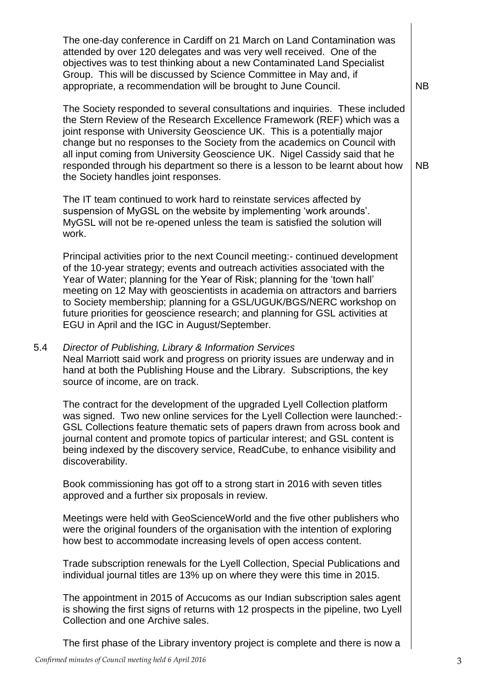|     | The one-day conference in Cardiff on 21 March on Land Contamination was<br>attended by over 120 delegates and was very well received. One of the<br>objectives was to test thinking about a new Contaminated Land Specialist<br>Group. This will be discussed by Science Committee in May and, if<br>appropriate, a recommendation will be brought to June Council.                                                                                                                                                                 | <b>NB</b> |
|-----|-------------------------------------------------------------------------------------------------------------------------------------------------------------------------------------------------------------------------------------------------------------------------------------------------------------------------------------------------------------------------------------------------------------------------------------------------------------------------------------------------------------------------------------|-----------|
|     | The Society responded to several consultations and inquiries. These included<br>the Stern Review of the Research Excellence Framework (REF) which was a<br>joint response with University Geoscience UK. This is a potentially major<br>change but no responses to the Society from the academics on Council with<br>all input coming from University Geoscience UK. Nigel Cassidy said that he<br>responded through his department so there is a lesson to be learnt about how<br>the Society handles joint responses.             | <b>NB</b> |
|     | The IT team continued to work hard to reinstate services affected by<br>suspension of MyGSL on the website by implementing 'work arounds'.<br>MyGSL will not be re-opened unless the team is satisfied the solution will<br>work.                                                                                                                                                                                                                                                                                                   |           |
|     | Principal activities prior to the next Council meeting:- continued development<br>of the 10-year strategy; events and outreach activities associated with the<br>Year of Water; planning for the Year of Risk; planning for the 'town hall'<br>meeting on 12 May with geoscientists in academia on attractors and barriers<br>to Society membership; planning for a GSL/UGUK/BGS/NERC workshop on<br>future priorities for geoscience research; and planning for GSL activities at<br>EGU in April and the IGC in August/September. |           |
| 5.4 | Director of Publishing, Library & Information Services<br>Neal Marriott said work and progress on priority issues are underway and in<br>hand at both the Publishing House and the Library. Subscriptions, the key<br>source of income, are on track.                                                                                                                                                                                                                                                                               |           |
|     | The contract for the development of the upgraded Lyell Collection platform<br>was signed. Two new online services for the Lyell Collection were launched:-<br>GSL Collections feature thematic sets of papers drawn from across book and<br>journal content and promote topics of particular interest; and GSL content is<br>being indexed by the discovery service, ReadCube, to enhance visibility and<br>discoverability.                                                                                                        |           |
|     | Book commissioning has got off to a strong start in 2016 with seven titles<br>approved and a further six proposals in review.                                                                                                                                                                                                                                                                                                                                                                                                       |           |
|     | Meetings were held with GeoScienceWorld and the five other publishers who<br>were the original founders of the organisation with the intention of exploring<br>how best to accommodate increasing levels of open access content.                                                                                                                                                                                                                                                                                                    |           |
|     | Trade subscription renewals for the Lyell Collection, Special Publications and<br>individual journal titles are 13% up on where they were this time in 2015.                                                                                                                                                                                                                                                                                                                                                                        |           |
|     | The appointment in 2015 of Accucoms as our Indian subscription sales agent<br>is showing the first signs of returns with 12 prospects in the pipeline, two Lyell<br>Collection and one Archive sales.                                                                                                                                                                                                                                                                                                                               |           |
|     | The first phase of the Library inventory project is complete and there is now a                                                                                                                                                                                                                                                                                                                                                                                                                                                     |           |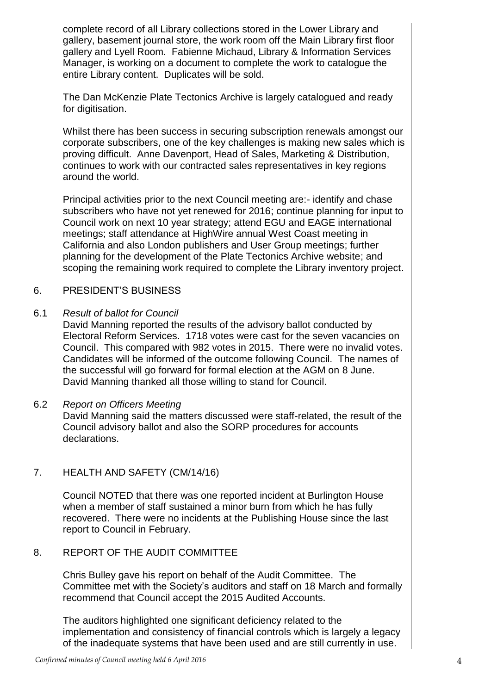complete record of all Library collections stored in the Lower Library and gallery, basement journal store, the work room off the Main Library first floor gallery and Lyell Room. Fabienne Michaud, Library & Information Services Manager, is working on a document to complete the work to catalogue the entire Library content. Duplicates will be sold.

The Dan McKenzie Plate Tectonics Archive is largely catalogued and ready for digitisation.

Whilst there has been success in securing subscription renewals amongst our corporate subscribers, one of the key challenges is making new sales which is proving difficult. Anne Davenport, Head of Sales, Marketing & Distribution, continues to work with our contracted sales representatives in key regions around the world.

Principal activities prior to the next Council meeting are:- identify and chase subscribers who have not yet renewed for 2016; continue planning for input to Council work on next 10 year strategy; attend EGU and EAGE international meetings; staff attendance at HighWire annual West Coast meeting in California and also London publishers and User Group meetings; further planning for the development of the Plate Tectonics Archive website; and scoping the remaining work required to complete the Library inventory project.

### 6. PRESIDENT'S BUSINESS

#### 6.1 *Result of ballot for Council*

David Manning reported the results of the advisory ballot conducted by Electoral Reform Services. 1718 votes were cast for the seven vacancies on Council. This compared with 982 votes in 2015. There were no invalid votes. Candidates will be informed of the outcome following Council. The names of the successful will go forward for formal election at the AGM on 8 June. David Manning thanked all those willing to stand for Council.

#### 6.2 *Report on Officers Meeting*

David Manning said the matters discussed were staff-related, the result of the Council advisory ballot and also the SORP procedures for accounts declarations.

## 7. HEALTH AND SAFETY (CM/14/16)

Council NOTED that there was one reported incident at Burlington House when a member of staff sustained a minor burn from which he has fully recovered. There were no incidents at the Publishing House since the last report to Council in February.

#### 8. REPORT OF THE AUDIT COMMITTEE

Chris Bulley gave his report on behalf of the Audit Committee. The Committee met with the Society's auditors and staff on 18 March and formally recommend that Council accept the 2015 Audited Accounts.

The auditors highlighted one significant deficiency related to the implementation and consistency of financial controls which is largely a legacy of the inadequate systems that have been used and are still currently in use.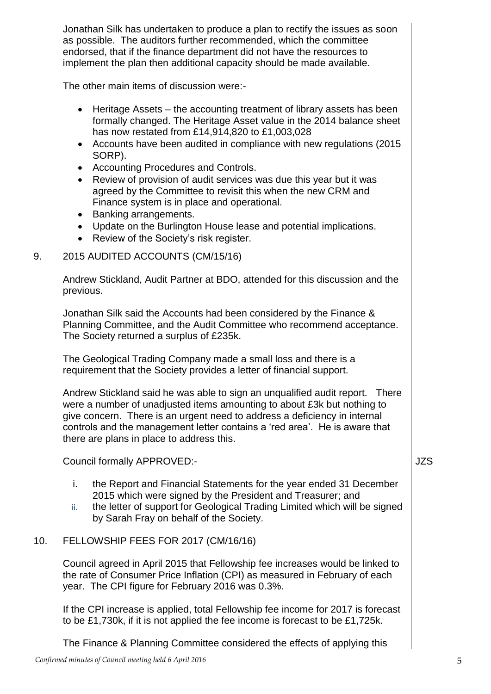Jonathan Silk has undertaken to produce a plan to rectify the issues as soon as possible. The auditors further recommended, which the committee endorsed, that if the finance department did not have the resources to implement the plan then additional capacity should be made available.

The other main items of discussion were:-

- Heritage Assets the accounting treatment of library assets has been formally changed. The Heritage Asset value in the 2014 balance sheet has now restated from £14,914,820 to £1,003,028
- Accounts have been audited in compliance with new regulations (2015) SORP).
- Accounting Procedures and Controls.
- Review of provision of audit services was due this year but it was agreed by the Committee to revisit this when the new CRM and Finance system is in place and operational.
- Banking arrangements.
- Update on the Burlington House lease and potential implications.
- Review of the Society's risk register.

## 9. 2015 AUDITED ACCOUNTS (CM/15/16)

Andrew Stickland, Audit Partner at BDO, attended for this discussion and the previous.

Jonathan Silk said the Accounts had been considered by the Finance & Planning Committee, and the Audit Committee who recommend acceptance. The Society returned a surplus of £235k.

The Geological Trading Company made a small loss and there is a requirement that the Society provides a letter of financial support.

Andrew Stickland said he was able to sign an unqualified audit report. There were a number of unadjusted items amounting to about £3k but nothing to give concern. There is an urgent need to address a deficiency in internal controls and the management letter contains a 'red area'. He is aware that there are plans in place to address this.

Council formally APPROVED:-

- i. the Report and Financial Statements for the year ended 31 December 2015 which were signed by the President and Treasurer; and
- ii. the letter of support for Geological Trading Limited which will be signed by Sarah Fray on behalf of the Society.

## 10. FELLOWSHIP FEES FOR 2017 (CM/16/16)

Council agreed in April 2015 that Fellowship fee increases would be linked to the rate of Consumer Price Inflation (CPI) as measured in February of each year. The CPI figure for February 2016 was 0.3%.

If the CPI increase is applied, total Fellowship fee income for 2017 is forecast to be £1,730k, if it is not applied the fee income is forecast to be £1,725k.

The Finance & Planning Committee considered the effects of applying this

JZS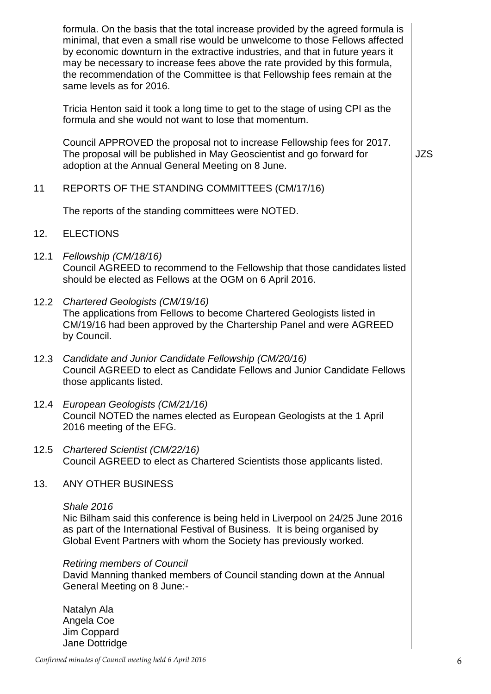|      | formula. On the basis that the total increase provided by the agreed formula is<br>minimal, that even a small rise would be unwelcome to those Fellows affected<br>by economic downturn in the extractive industries, and that in future years it<br>may be necessary to increase fees above the rate provided by this formula,<br>the recommendation of the Committee is that Fellowship fees remain at the<br>same levels as for 2016. |            |
|------|------------------------------------------------------------------------------------------------------------------------------------------------------------------------------------------------------------------------------------------------------------------------------------------------------------------------------------------------------------------------------------------------------------------------------------------|------------|
|      | Tricia Henton said it took a long time to get to the stage of using CPI as the<br>formula and she would not want to lose that momentum.                                                                                                                                                                                                                                                                                                  |            |
|      | Council APPROVED the proposal not to increase Fellowship fees for 2017.<br>The proposal will be published in May Geoscientist and go forward for<br>adoption at the Annual General Meeting on 8 June.                                                                                                                                                                                                                                    | <b>JZS</b> |
| 11   | REPORTS OF THE STANDING COMMITTEES (CM/17/16)                                                                                                                                                                                                                                                                                                                                                                                            |            |
|      | The reports of the standing committees were NOTED.                                                                                                                                                                                                                                                                                                                                                                                       |            |
| 12.  | <b>ELECTIONS</b>                                                                                                                                                                                                                                                                                                                                                                                                                         |            |
| 12.1 | Fellowship (CM/18/16)<br>Council AGREED to recommend to the Fellowship that those candidates listed<br>should be elected as Fellows at the OGM on 6 April 2016.                                                                                                                                                                                                                                                                          |            |
| 12.2 | Chartered Geologists (CM/19/16)<br>The applications from Fellows to become Chartered Geologists listed in<br>CM/19/16 had been approved by the Chartership Panel and were AGREED<br>by Council.                                                                                                                                                                                                                                          |            |
| 12.3 | Candidate and Junior Candidate Fellowship (CM/20/16)<br>Council AGREED to elect as Candidate Fellows and Junior Candidate Fellows<br>those applicants listed.                                                                                                                                                                                                                                                                            |            |
|      | 12.4 European Geologists (CM/21/16)<br>Council NOTED the names elected as European Geologists at the 1 April<br>2016 meeting of the EFG.                                                                                                                                                                                                                                                                                                 |            |
| 12.5 | Chartered Scientist (CM/22/16)<br>Council AGREED to elect as Chartered Scientists those applicants listed.                                                                                                                                                                                                                                                                                                                               |            |
| 13.  | ANY OTHER BUSINESS                                                                                                                                                                                                                                                                                                                                                                                                                       |            |
|      | <b>Shale 2016</b><br>Nic Bilham said this conference is being held in Liverpool on 24/25 June 2016<br>as part of the International Festival of Business. It is being organised by<br>Global Event Partners with whom the Society has previously worked.                                                                                                                                                                                  |            |
|      | <b>Retiring members of Council</b><br>David Manning thanked members of Council standing down at the Annual<br>General Meeting on 8 June:-                                                                                                                                                                                                                                                                                                |            |
|      | Natalyn Ala<br>Angela Coe<br>Jim Coppard<br>Jane Dottridge                                                                                                                                                                                                                                                                                                                                                                               |            |